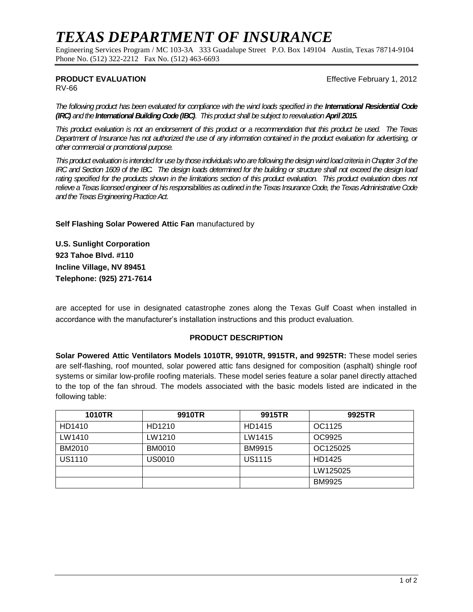# *TEXAS DEPARTMENT OF INSURANCE*

Engineering Services Program / MC 103-3A 333 Guadalupe Street P.O. Box 149104 Austin, Texas 78714-9104 Phone No. (512) 322-2212 Fax No. (512) 463-6693

#### **PRODUCT EVALUATION Example 2012 Effective February 1, 2012**

RV-66

The following product has been evaluated for compliance with the wind loads specified in the **International Residential Code** *(IRC) and the International Building Code (IBC). This product shall be subject to reevaluation April 2015.*

*This product evaluation is not an endorsement of this product or a recommendation that this product be used. The Texas Department of Insurance has not authorized the use of any information contained in the product evaluation for advertising, or other commercial or promotional purpose.*

*This product evaluation is intended for use by those individuals who are following the design wind load criteria in Chapter 3 of the IRC and Section 1609 of the IBC. The design loads determined for the building or structure shall not exceed the design load*  rating specified for the products shown in the limitations section of this product evaluation. This product evaluation does not *relieve a Texas licensed engineer of his responsibilities as outlined in the Texas Insurance Code, the Texas Administrative Code and the Texas Engineering Practice Act.*

**Self Flashing Solar Powered Attic Fan** manufactured by

**U.S. Sunlight Corporation 923 Tahoe Blvd. #110 Incline Village, NV 89451 Telephone: (925) 271-7614**

are accepted for use in designated catastrophe zones along the Texas Gulf Coast when installed in accordance with the manufacturer's installation instructions and this product evaluation.

#### **PRODUCT DESCRIPTION**

**Solar Powered Attic Ventilators Models 1010TR, 9910TR, 9915TR, and 9925TR:** These model series are self-flashing, roof mounted, solar powered attic fans designed for composition (asphalt) shingle roof systems or similar low-profile roofing materials. These model series feature a solar panel directly attached to the top of the fan shroud. The models associated with the basic models listed are indicated in the following table:

| <b>1010TR</b> | 9910TR        | 9915TR        | 9925TR        |
|---------------|---------------|---------------|---------------|
| HD1410        | HD1210        | HD1415        | OC1125        |
| LW1410        | LW1210        | LW1415        | OC9925        |
| BM2010        | <b>BM0010</b> | <b>BM9915</b> | OC125025      |
| US1110        | US0010        | <b>US1115</b> | HD1425        |
|               |               |               | LW125025      |
|               |               |               | <b>BM9925</b> |